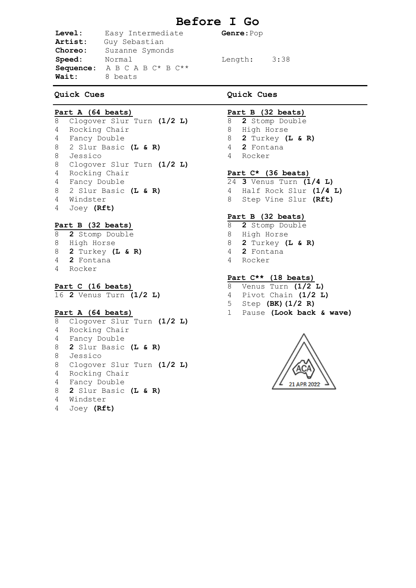# **Before I Go**

**Level:** Easy Intermediate **Genre**:Pop **Artist:** Guy Sebastian **Choreo:** Suzanne Symonds Speed: Normal Length: 3:38 **Sequence:** A B C A B C\* B C\*\* **Wait:** 8 beats

# **Quick Cues**

# **Part A (64 beats)**

 Clogover Slur Turn **(1/2 L)** Rocking Chair Fancy Double 2 Slur Basic **(L & R)** Jessico Clogover Slur Turn **(1/2 L)** Rocking Chair Fancy Double 2 Slur Basic **(L & R)** Windster Joey **(Rft)**

#### **Part B (32 beats)**

- **2** Stomp Double High Horse **2** Turkey **(L & R) 2** Fontana Rocker
- **Part C (16 beats)**

**2** Venus Turn **(1/2 L)**

### **Part A (64 beats)**

 Clogover Slur Turn **(1/2 L)** Rocking Chair Fancy Double **2** Slur Basic **(L & R)** Jessico Clogover Slur Turn **(1/2 L)** Rocking Chair Fancy Double **2** Slur Basic **(L & R)** Windster Joey **(Rft)**

#### **Quick Cues**

#### **Part B (32 beats)**

- **2** Stomp Double
- High Horse
- **2** Turkey **(L & R)**
- **2** Fontana
- Rocker

#### **Part C\* (36 beats)**

- **3** Venus Turn **(1/4 L)** Half Rock Slur **(1/4 L)** Step Vine Slur **(Rft)**
- **Part B (32 beats)**
- **2** Stomp Double
- High Horse
- **2** Turkey **(L & R)**
- **2** Fontana
- Rocker

# **Part C\*\* (18 beats)**

- Venus Turn **(1/2 L)**
- Pivot Chain **(1/2 L)**
- Step **(BK)(1/2 R)**
- Pause **(Look back & wave)**